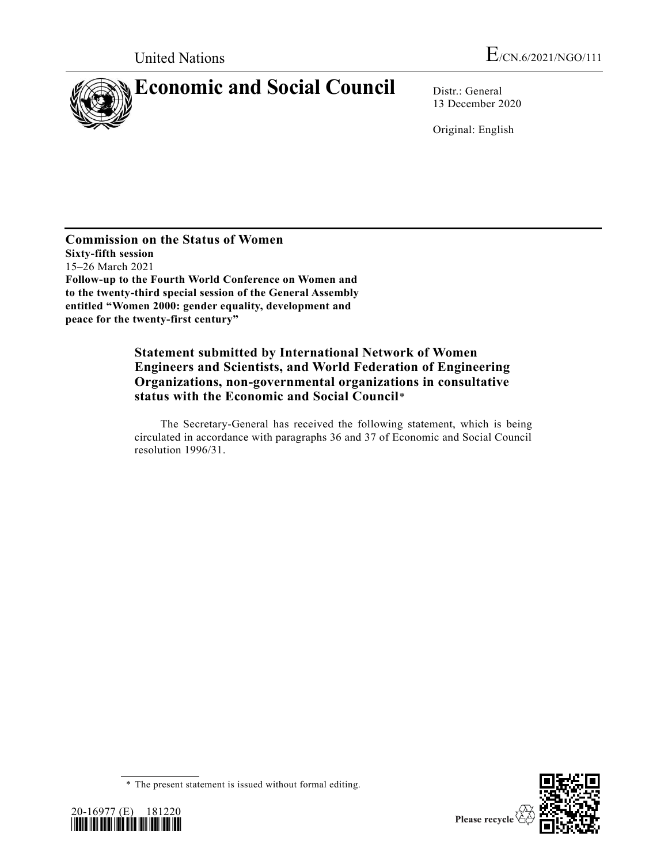

13 December 2020

Original: English

**Commission on the Status of Women Sixty-fifth session** 15–26 March 2021 **Follow-up to the Fourth World Conference on Women and to the twenty-third special session of the General Assembly entitled "Women 2000: gender equality, development and peace for the twenty-first century"**

## **Statement submitted by International Network of Women Engineers and Scientists, and World Federation of Engineering Organizations, non-governmental organizations in consultative status with the Economic and Social Council**\*

The Secretary-General has received the following statement, which is being circulated in accordance with paragraphs 36 and 37 of Economic and Social Council resolution 1996/31.





<sup>\*</sup> The present statement is issued without formal editing.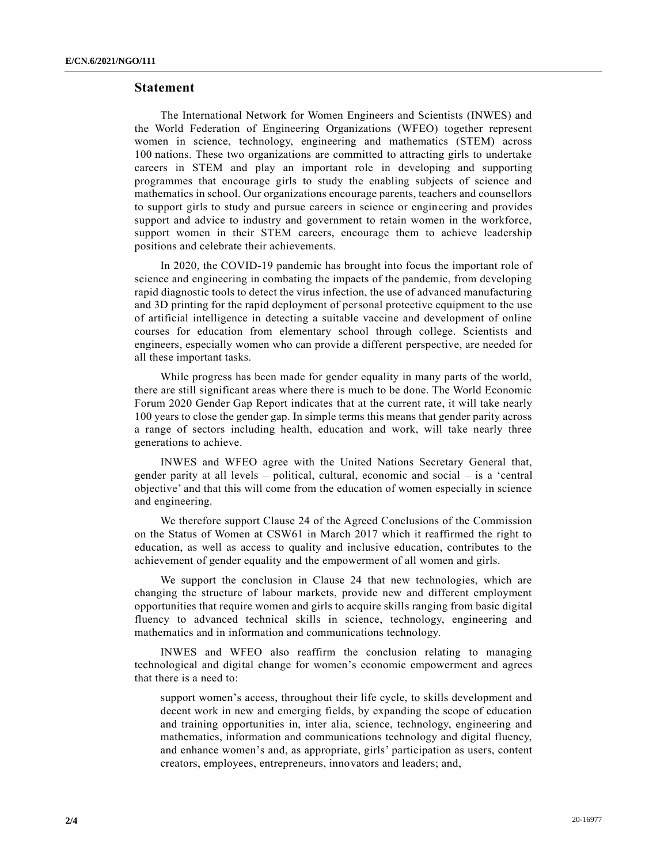## **Statement**

The International Network for Women Engineers and Scientists (INWES) and the World Federation of Engineering Organizations (WFEO) together represent women in science, technology, engineering and mathematics (STEM) across 100 nations. These two organizations are committed to attracting girls to undertake careers in STEM and play an important role in developing and supporting programmes that encourage girls to study the enabling subjects of science and mathematics in school. Our organizations encourage parents, teachers and counsellors to support girls to study and pursue careers in science or engineering and provides support and advice to industry and government to retain women in the workforce, support women in their STEM careers, encourage them to achieve leadership positions and celebrate their achievements.

In 2020, the COVID-19 pandemic has brought into focus the important role of science and engineering in combating the impacts of the pandemic, from developing rapid diagnostic tools to detect the virus infection, the use of advanced manufacturing and 3D printing for the rapid deployment of personal protective equipment to the use of artificial intelligence in detecting a suitable vaccine and development of online courses for education from elementary school through college. Scientists and engineers, especially women who can provide a different perspective, are needed for all these important tasks.

While progress has been made for gender equality in many parts of the world, there are still significant areas where there is much to be done. The World Economic Forum 2020 Gender Gap Report indicates that at the current rate, it will take nearly 100 years to close the gender gap. In simple terms this means that gender parity across a range of sectors including health, education and work, will take nearly three generations to achieve.

INWES and WFEO agree with the United Nations Secretary General that, gender parity at all levels – political, cultural, economic and social – is a 'central objective' and that this will come from the education of women especially in science and engineering.

We therefore support Clause 24 of the Agreed Conclusions of the Commission on the Status of Women at CSW61 in March 2017 which it reaffirmed the right to education, as well as access to quality and inclusive education, contributes to the achievement of gender equality and the empowerment of all women and girls.

We support the conclusion in Clause 24 that new technologies, which are changing the structure of labour markets, provide new and different employment opportunities that require women and girls to acquire skills ranging from basic digital fluency to advanced technical skills in science, technology, engineering and mathematics and in information and communications technology.

INWES and WFEO also reaffirm the conclusion relating to managing technological and digital change for women's economic empowerment and agrees that there is a need to:

support women's access, throughout their life cycle, to skills development and decent work in new and emerging fields, by expanding the scope of education and training opportunities in, inter alia, science, technology, engineering and mathematics, information and communications technology and digital fluency, and enhance women's and, as appropriate, girls' participation as users, content creators, employees, entrepreneurs, innovators and leaders; and,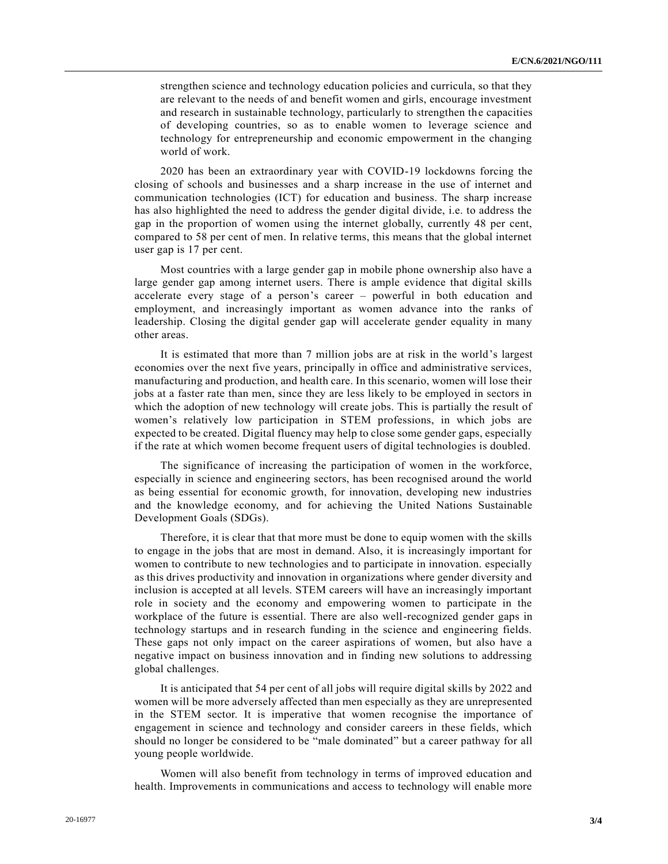strengthen science and technology education policies and curricula, so that they are relevant to the needs of and benefit women and girls, encourage investment and research in sustainable technology, particularly to strengthen the capacities of developing countries, so as to enable women to leverage science and technology for entrepreneurship and economic empowerment in the changing world of work.

2020 has been an extraordinary year with COVID-19 lockdowns forcing the closing of schools and businesses and a sharp increase in the use of internet and communication technologies (ICT) for education and business. The sharp increase has also highlighted the need to address the gender digital divide, i.e. to address the gap in the proportion of women using the internet globally, currently 48 per cent, compared to 58 per cent of men. In relative terms, this means that the global internet user gap is 17 per cent.

Most countries with a large gender gap in mobile phone ownership also have a large gender gap among internet users. There is ample evidence that digital skills accelerate every stage of a person's career – powerful in both education and employment, and increasingly important as women advance into the ranks of leadership. Closing the digital gender gap will accelerate gender equality in many other areas.

It is estimated that more than 7 million jobs are at risk in the world's largest economies over the next five years, principally in office and administrative services, manufacturing and production, and health care. In this scenario, women will lose their jobs at a faster rate than men, since they are less likely to be employed in sectors in which the adoption of new technology will create jobs. This is partially the result of women's relatively low participation in STEM professions, in which jobs are expected to be created. Digital fluency may help to close some gender gaps, especially if the rate at which women become frequent users of digital technologies is doubled.

The significance of increasing the participation of women in the workforce, especially in science and engineering sectors, has been recognised around the world as being essential for economic growth, for innovation, developing new industries and the knowledge economy, and for achieving the United Nations Sustainable Development Goals (SDGs).

Therefore, it is clear that that more must be done to equip women with the skills to engage in the jobs that are most in demand. Also, it is increasingly important for women to contribute to new technologies and to participate in innovation. especially as this drives productivity and innovation in organizations where gender diversity and inclusion is accepted at all levels. STEM careers will have an increasingly important role in society and the economy and empowering women to participate in the workplace of the future is essential. There are also well-recognized gender gaps in technology startups and in research funding in the science and engineering fields. These gaps not only impact on the career aspirations of women, but also have a negative impact on business innovation and in finding new solutions to addressing global challenges.

It is anticipated that 54 per cent of all jobs will require digital skills by 2022 and women will be more adversely affected than men especially as they are unrepresented in the STEM sector. It is imperative that women recognise the importance of engagement in science and technology and consider careers in these fields, which should no longer be considered to be "male dominated" but a career pathway for all young people worldwide.

Women will also benefit from technology in terms of improved education and health. Improvements in communications and access to technology will enable more